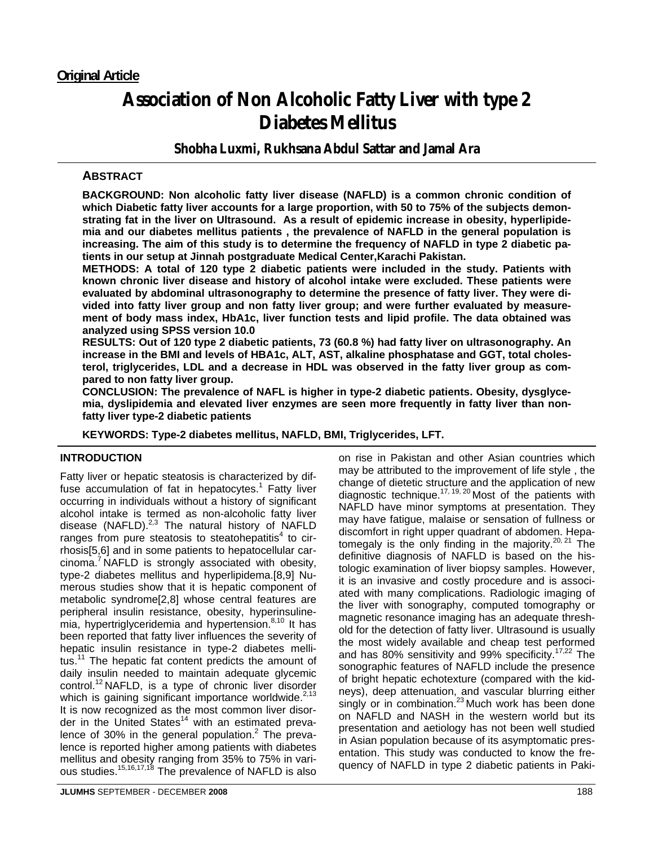# **Association of Non Alcoholic Fatty Liver with type 2 Diabetes Mellitus**

**Shobha Luxmi, Rukhsana Abdul Sattar and Jamal Ara** 

# **ABSTRACT**

**BACKGROUND: Non alcoholic fatty liver disease (NAFLD) is a common chronic condition of which Diabetic fatty liver accounts for a large proportion, with 50 to 75% of the subjects demonstrating fat in the liver on Ultrasound. As a result of epidemic increase in obesity, hyperlipidemia and our diabetes mellitus patients , the prevalence of NAFLD in the general population is increasing. The aim of this study is to determine the frequency of NAFLD in type 2 diabetic patients in our setup at Jinnah postgraduate Medical Center,Karachi Pakistan.** 

**METHODS: A total of 120 type 2 diabetic patients were included in the study. Patients with known chronic liver disease and history of alcohol intake were excluded. These patients were evaluated by abdominal ultrasonography to determine the presence of fatty liver. They were divided into fatty liver group and non fatty liver group; and were further evaluated by measurement of body mass index, HbA1c, liver function tests and lipid profile. The data obtained was analyzed using SPSS version 10.0** 

**RESULTS: Out of 120 type 2 diabetic patients, 73 (60.8 %) had fatty liver on ultrasonography. An increase in the BMI and levels of HBA1c, ALT, AST, alkaline phosphatase and GGT, total cholesterol, triglycerides, LDL and a decrease in HDL was observed in the fatty liver group as compared to non fatty liver group.** 

**CONCLUSION: The prevalence of NAFL is higher in type-2 diabetic patients. Obesity, dysglycemia, dyslipidemia and elevated liver enzymes are seen more frequently in fatty liver than nonfatty liver type-2 diabetic patients** 

**KEYWORDS: Type-2 diabetes mellitus, NAFLD, BMI, Triglycerides, LFT.** 

## **INTRODUCTION**

Fatty liver or hepatic steatosis is characterized by diffuse accumulation of fat in hepatocytes.<sup>1</sup> Fatty liver occurring in individuals without a history of significant alcohol intake is termed as non-alcoholic fatty liver disease (NAFLD). $^{2,3}$  The natural history of NAFLD ranges from pure steatosis to steatohepatitis $4$  to cirrhosis[5,6] and in some patients to hepatocellular car $cinoma.<sup>7</sup> NAFLD$  is strongly associated with obesity, type-2 diabetes mellitus and hyperlipidema.[8,9] Numerous studies show that it is hepatic component of metabolic syndrome[2,8] whose central features are peripheral insulin resistance, obesity, hyperinsulinemia, hypertriglyceridemia and hypertension.<sup>8,10</sup> It has been reported that fatty liver influences the severity of hepatic insulin resistance in type-2 diabetes mellitus.<sup>11</sup> The hepatic fat content predicts the amount of daily insulin needed to maintain adequate glycemic control.12 NAFLD, is a type of chronic liver disorder which is gaining significant importance worldwide. $2,13$ It is now recognized as the most common liver disorder in the United States $14$  with an estimated prevalence of 30% in the general population.<sup>2</sup> The prevalence is reported higher among patients with diabetes mellitus and obesity ranging from 35% to 75% in various studies.<sup>15,16,17,18</sup> The prevalence of NAFLD is also

on rise in Pakistan and other Asian countries which may be attributed to the improvement of life style , the change of dietetic structure and the application of new diagnostic technique.<sup>17, 19, 20</sup> Most of the patients with NAFLD have minor symptoms at presentation. They may have fatigue, malaise or sensation of fullness or discomfort in right upper quadrant of abdomen. Hepatomegaly is the only finding in the majority.<sup>20, 21</sup> The definitive diagnosis of NAFLD is based on the histologic examination of liver biopsy samples. However, it is an invasive and costly procedure and is associated with many complications. Radiologic imaging of the liver with sonography, computed tomography or magnetic resonance imaging has an adequate threshold for the detection of fatty liver. Ultrasound is usually the most widely available and cheap test performed and has 80% sensitivity and 99% specificity.17,22 The sonographic features of NAFLD include the presence of bright hepatic echotexture (compared with the kidneys), deep attenuation, and vascular blurring either singly or in combination. $23$  Much work has been done on NAFLD and NASH in the western world but its presentation and aetiology has not been well studied in Asian population because of its asymptomatic presentation. This study was conducted to know the frequency of NAFLD in type 2 diabetic patients in Paki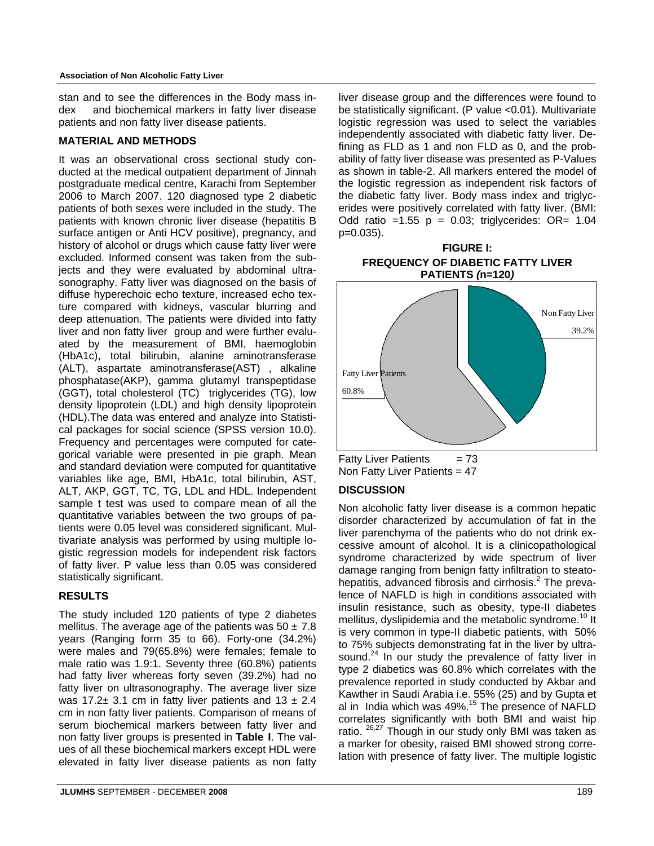stan and to see the differences in the Body mass index and biochemical markers in fatty liver disease patients and non fatty liver disease patients.

#### **MATERIAL AND METHODS**

It was an observational cross sectional study conducted at the medical outpatient department of Jinnah postgraduate medical centre, Karachi from September 2006 to March 2007. 120 diagnosed type 2 diabetic patients of both sexes were included in the study. The patients with known chronic liver disease (hepatitis B surface antigen or Anti HCV positive), pregnancy, and history of alcohol or drugs which cause fatty liver were excluded. Informed consent was taken from the subjects and they were evaluated by abdominal ultrasonography. Fatty liver was diagnosed on the basis of diffuse hyperechoic echo texture, increased echo texture compared with kidneys, vascular blurring and deep attenuation. The patients were divided into fatty liver and non fatty liver group and were further evaluated by the measurement of BMI, haemoglobin (HbA1c), total bilirubin, alanine aminotransferase (ALT), aspartate aminotransferase(AST) , alkaline phosphatase(AKP), gamma glutamyl transpeptidase (GGT), total cholesterol (TC) triglycerides (TG), low density lipoprotein (LDL) and high density lipoprotein (HDL).The data was entered and analyze into Statistical packages for social science (SPSS version 10.0). Frequency and percentages were computed for categorical variable were presented in pie graph. Mean and standard deviation were computed for quantitative variables like age, BMI, HbA1c, total bilirubin, AST, ALT, AKP, GGT, TC, TG, LDL and HDL. Independent sample t test was used to compare mean of all the quantitative variables between the two groups of patients were 0.05 level was considered significant. Multivariate analysis was performed by using multiple logistic regression models for independent risk factors of fatty liver. P value less than 0.05 was considered statistically significant.

#### **RESULTS**

The study included 120 patients of type 2 diabetes mellitus. The average age of the patients was  $50 \pm 7.8$ years (Ranging form 35 to 66). Forty-one (34.2%) were males and 79(65.8%) were females; female to male ratio was 1.9:1. Seventy three (60.8%) patients had fatty liver whereas forty seven (39.2%) had no fatty liver on ultrasonography. The average liver size was 17.2 $\pm$  3.1 cm in fatty liver patients and 13  $\pm$  2.4 cm in non fatty liver patients. Comparison of means of serum biochemical markers between fatty liver and non fatty liver groups is presented in **Table I**. The values of all these biochemical markers except HDL were elevated in fatty liver disease patients as non fatty liver disease group and the differences were found to be statistically significant. (P value <0.01). Multivariate logistic regression was used to select the variables independently associated with diabetic fatty liver. Defining as FLD as 1 and non FLD as 0, and the probability of fatty liver disease was presented as P-Values as shown in table-2. All markers entered the model of the logistic regression as independent risk factors of the diabetic fatty liver. Body mass index and triglycerides were positively correlated with fatty liver. (BMI: Odd ratio =  $1.55$  p = 0.03; triglycerides: OR=  $1.04$ p=0.035).

#### **FIGURE I: FREQUENCY OF DIABETIC FATTY LIVER PATIENTS** *(***n=120***)*



Fatty Liver Patients  $= 73$ Non Fatty Liver Patients = 47

# **DISCUSSION**

Non alcoholic fatty liver disease is a common hepatic disorder characterized by accumulation of fat in the liver parenchyma of the patients who do not drink excessive amount of alcohol. It is a clinicopathological syndrome characterized by wide spectrum of liver damage ranging from benign fatty infiltration to steatohepatitis, advanced fibrosis and cirrhosis.<sup>2</sup> The prevalence of NAFLD is high in conditions associated with insulin resistance, such as obesity, type-II diabetes mellitus, dyslipidemia and the metabolic syndrome.<sup>10</sup> It is very common in type-II diabetic patients, with 50% to 75% subjects demonstrating fat in the liver by ultrasound.<sup>24</sup> In our study the prevalence of fatty liver in type 2 diabetics was 60.8% which correlates with the prevalence reported in study conducted by Akbar and Kawther in Saudi Arabia i.e. 55% (25) and by Gupta et al in India which was 49%.<sup>15</sup> The presence of NAFLD correlates significantly with both BMI and waist hip ratio. <sup>26,27</sup> Though in our study only BMI was taken as a marker for obesity, raised BMI showed strong correlation with presence of fatty liver. The multiple logistic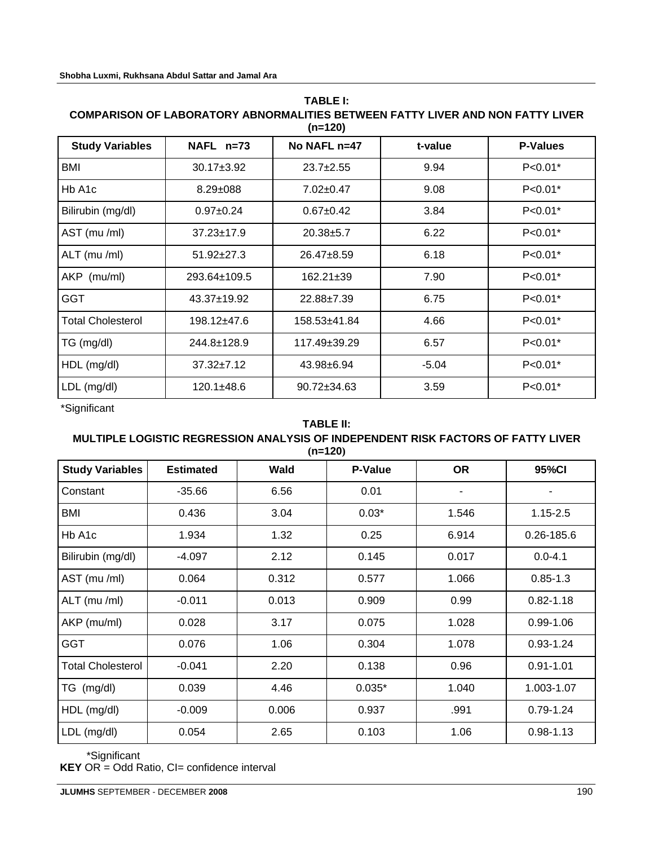#### **TABLE I: COMPARISON OF LABORATORY ABNORMALITIES BETWEEN FATTY LIVER AND NON FATTY LIVER (n=120)**

| <b>Study Variables</b>   | NAFL n=73        | No NAFL n=47       | t-value | <b>P-Values</b> |
|--------------------------|------------------|--------------------|---------|-----------------|
| BMI                      | $30.17 \pm 3.92$ | $23.7+2.55$        | 9.94    | $P < 0.01*$     |
| Hb A <sub>1</sub> c      | $8.29 \pm 088$   | $7.02 \pm 0.47$    | 9.08    | $P < 0.01*$     |
| Bilirubin (mg/dl)        | $0.97 \pm 0.24$  | $0.67 + 0.42$      | 3.84    | $P < 0.01*$     |
| AST (mu /ml)             | $37.23 \pm 17.9$ | $20.38 + 5.7$      | 6.22    | $P < 0.01*$     |
| ALT (mu /ml)             | $51.92 \pm 27.3$ | $26.47 \pm 8.59$   | 6.18    | $P < 0.01*$     |
| AKP (mu/ml)              | 293.64±109.5     | $162.21 \pm 39$    | 7.90    | $P < 0.01*$     |
| <b>GGT</b>               | 43.37±19.92      | 22.88±7.39         | 6.75    | $P < 0.01*$     |
| <b>Total Cholesterol</b> | 198.12±47.6      | 158.53±41.84       | 4.66    | $P < 0.01*$     |
| TG (mg/dl)               | 244.8±128.9      | $117.49 \pm 39.29$ | 6.57    | $P < 0.01*$     |
| HDL (mg/dl)              | $37.32 \pm 7.12$ | 43.98±6.94         | $-5.04$ | $P < 0.01*$     |
| LDL (mg/dl)              | 120.1±48.6       | $90.72 \pm 34.63$  | 3.59    | $P < 0.01*$     |

\*Significant

#### **TABLE II:**

#### **MULTIPLE LOGISTIC REGRESSION ANALYSIS OF INDEPENDENT RISK FACTORS OF FATTY LIVER (n=120)**

| <b>Study Variables</b>   | <b>Estimated</b> | <b>Wald</b> | P-Value  | <b>OR</b> | 95%CI          |
|--------------------------|------------------|-------------|----------|-----------|----------------|
| Constant                 | $-35.66$         | 6.56        | 0.01     |           |                |
| BMI                      | 0.436            | 3.04        | $0.03*$  | 1.546     | $1.15 - 2.5$   |
| Hb A1c                   | 1.934            | 1.32        | 0.25     | 6.914     | $0.26 - 185.6$ |
| Bilirubin (mg/dl)        | $-4.097$         | 2.12        | 0.145    | 0.017     | $0.0 - 4.1$    |
| AST (mu /ml)             | 0.064            | 0.312       | 0.577    | 1.066     | $0.85 - 1.3$   |
| ALT (mu /ml)             | $-0.011$         | 0.013       | 0.909    | 0.99      | $0.82 - 1.18$  |
| AKP (mu/ml)              | 0.028            | 3.17        | 0.075    | 1.028     | $0.99 - 1.06$  |
| <b>GGT</b>               | 0.076            | 1.06        | 0.304    | 1.078     | $0.93 - 1.24$  |
| <b>Total Cholesterol</b> | $-0.041$         | 2.20        | 0.138    | 0.96      | $0.91 - 1.01$  |
| TG (mg/dl)               | 0.039            | 4.46        | $0.035*$ | 1.040     | 1.003-1.07     |
| HDL (mg/dl)              | $-0.009$         | 0.006       | 0.937    | .991      | $0.79 - 1.24$  |
| LDL (mg/dl)              | 0.054            | 2.65        | 0.103    | 1.06      | 0.98-1.13      |

\*Significant

**KEY** OR = Odd Ratio, CI= confidence interval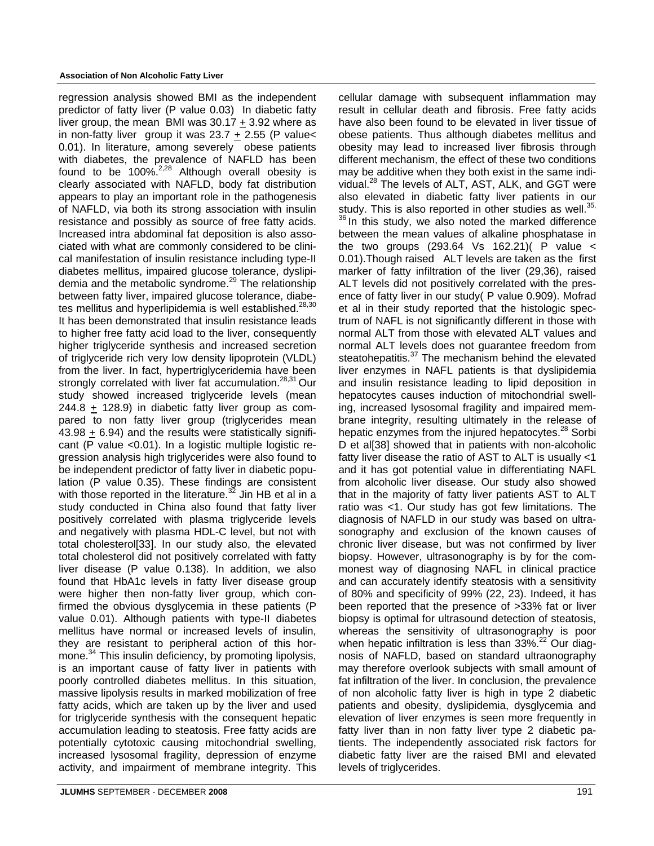regression analysis showed BMI as the independent predictor of fatty liver (P value 0.03) In diabetic fatty liver group, the mean BMI was 30.17 + 3.92 where as in non-fatty liver group it was  $23.7 + 2.55$  (P value< 0.01). In literature, among severely obese patients with diabetes, the prevalence of NAFLD has been found to be  $100\%^{2,28}$  Although overall obesity is clearly associated with NAFLD, body fat distribution appears to play an important role in the pathogenesis of NAFLD, via both its strong association with insulin resistance and possibly as source of free fatty acids. Increased intra abdominal fat deposition is also associated with what are commonly considered to be clinical manifestation of insulin resistance including type-II diabetes mellitus, impaired glucose tolerance, dyslipidemia and the metabolic syndrome.<sup>29</sup> The relationship between fatty liver, impaired glucose tolerance, diabetes mellitus and hyperlipidemia is well established.<sup>28,30</sup> It has been demonstrated that insulin resistance leads to higher free fatty acid load to the liver, consequently higher triglyceride synthesis and increased secretion of triglyceride rich very low density lipoprotein (VLDL) from the liver. In fact, hypertriglyceridemia have been strongly correlated with liver fat accumulation.<sup>28,31</sup> Our study showed increased triglyceride levels (mean 244.8 + 128.9) in diabetic fatty liver group as compared to non fatty liver group (triglycerides mean 43.98 + 6.94) and the results were statistically significant (P value <0.01). In a logistic multiple logistic regression analysis high triglycerides were also found to be independent predictor of fatty liver in diabetic population (P value 0.35). These findings are consistent with those reported in the literature.<sup>32</sup> Jin HB et al in a study conducted in China also found that fatty liver positively correlated with plasma triglyceride levels and negatively with plasma HDL-C level, but not with total cholesterol[33]. In our study also, the elevated total cholesterol did not positively correlated with fatty liver disease (P value 0.138). In addition, we also found that HbA1c levels in fatty liver disease group were higher then non-fatty liver group, which confirmed the obvious dysglycemia in these patients (P value 0.01). Although patients with type-II diabetes mellitus have normal or increased levels of insulin, they are resistant to peripheral action of this hormone.<sup>34</sup> This insulin deficiency, by promoting lipolysis, is an important cause of fatty liver in patients with poorly controlled diabetes mellitus. In this situation, massive lipolysis results in marked mobilization of free fatty acids, which are taken up by the liver and used for triglyceride synthesis with the consequent hepatic accumulation leading to steatosis. Free fatty acids are potentially cytotoxic causing mitochondrial swelling, increased lysosomal fragility, depression of enzyme activity, and impairment of membrane integrity. This

cellular damage with subsequent inflammation may result in cellular death and fibrosis. Free fatty acids have also been found to be elevated in liver tissue of obese patients. Thus although diabetes mellitus and obesity may lead to increased liver fibrosis through different mechanism, the effect of these two conditions may be additive when they both exist in the same individual.28 The levels of ALT, AST, ALK, and GGT were also elevated in diabetic fatty liver patients in our study. This is also reported in other studies as well.<sup>35,</sup>  $36$  In this study, we also noted the marked difference between the mean values of alkaline phosphatase in the two groups (293.64 Vs 162.21)( P value < 0.01).Though raised ALT levels are taken as the first marker of fatty infiltration of the liver (29,36), raised ALT levels did not positively correlated with the presence of fatty liver in our study( P value 0.909). Mofrad et al in their study reported that the histologic spectrum of NAFL is not significantly different in those with normal ALT from those with elevated ALT values and normal ALT levels does not guarantee freedom from steatohepatitis.<sup>37</sup> The mechanism behind the elevated liver enzymes in NAFL patients is that dyslipidemia and insulin resistance leading to lipid deposition in hepatocytes causes induction of mitochondrial swelling, increased lysosomal fragility and impaired membrane integrity, resulting ultimately in the release of hepatic enzymes from the injured hepatocytes.<sup>28</sup> Sorbi D et al<sup>[38]</sup> showed that in patients with non-alcoholic fatty liver disease the ratio of AST to ALT is usually <1 and it has got potential value in differentiating NAFL from alcoholic liver disease. Our study also showed that in the majority of fatty liver patients AST to ALT ratio was <1. Our study has got few limitations. The diagnosis of NAFLD in our study was based on ultrasonography and exclusion of the known causes of chronic liver disease, but was not confirmed by liver biopsy. However, ultrasonography is by for the commonest way of diagnosing NAFL in clinical practice and can accurately identify steatosis with a sensitivity of 80% and specificity of 99% (22, 23). Indeed, it has been reported that the presence of >33% fat or liver biopsy is optimal for ultrasound detection of steatosis, whereas the sensitivity of ultrasonography is poor when hepatic infiltration is less than 33%.<sup>22</sup> Our diagnosis of NAFLD, based on standard ultraonography may therefore overlook subjects with small amount of fat infiltration of the liver. In conclusion, the prevalence of non alcoholic fatty liver is high in type 2 diabetic patients and obesity, dyslipidemia, dysglycemia and elevation of liver enzymes is seen more frequently in fatty liver than in non fatty liver type 2 diabetic patients. The independently associated risk factors for diabetic fatty liver are the raised BMI and elevated levels of triglycerides.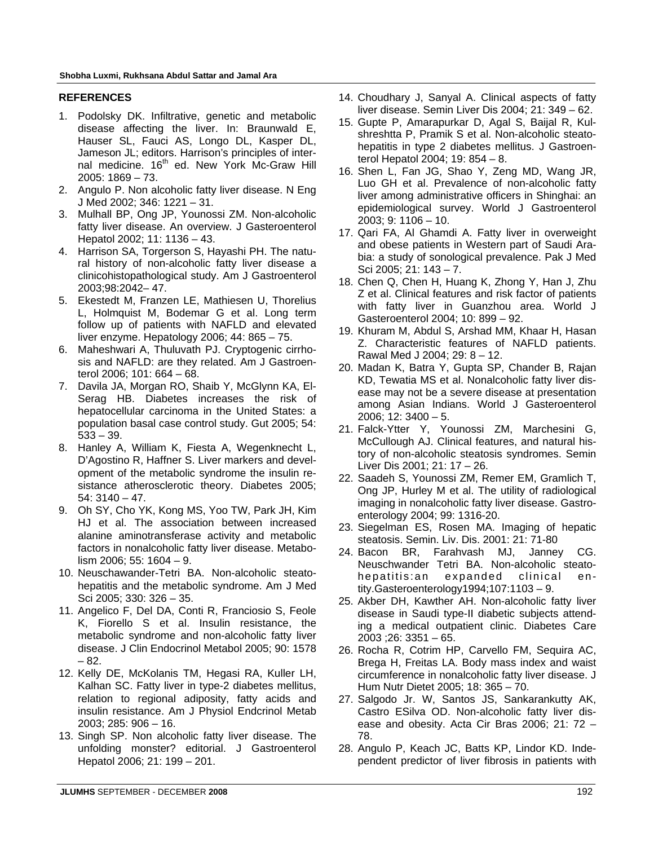#### **REFERENCES**

- 1. Podolsky DK. Infiltrative, genetic and metabolic disease affecting the liver. In: Braunwald E, Hauser SL, Fauci AS, Longo DL, Kasper DL, Jameson JL; editors. Harrison's principles of internal medicine. 16<sup>th</sup> ed. New York Mc-Graw Hill 2005: 1869 – 73.
- 2. Angulo P. Non alcoholic fatty liver disease. N Eng J Med 2002; 346: 1221 – 31.
- 3. Mulhall BP, Ong JP, Younossi ZM. Non-alcoholic fatty liver disease. An overview. J Gasteroenterol Hepatol 2002; 11: 1136 – 43.
- 4. Harrison SA, Torgerson S, Hayashi PH. The natural history of non-alcoholic fatty liver disease a clinicohistopathological study. Am J Gastroenterol 2003;98:2042– 47.
- 5. Ekestedt M, Franzen LE, Mathiesen U, Thorelius L, Holmquist M, Bodemar G et al. Long term follow up of patients with NAFLD and elevated liver enzyme. Hepatology 2006; 44: 865 – 75.
- 6. Maheshwari A, Thuluvath PJ. Cryptogenic cirrhosis and NAFLD: are they related. Am J Gastroenterol 2006; 101: 664 – 68.
- 7. Davila JA, Morgan RO, Shaib Y, McGlynn KA, El-Serag HB. Diabetes increases the risk of hepatocellular carcinoma in the United States: a population basal case control study. Gut 2005; 54: 533 – 39.
- 8. Hanley A, William K, Fiesta A, Wegenknecht L, D'Agostino R, Haffner S. Liver markers and development of the metabolic syndrome the insulin resistance atherosclerotic theory. Diabetes 2005; 54: 3140 – 47.
- 9. Oh SY, Cho YK, Kong MS, Yoo TW, Park JH, Kim HJ et al. The association between increased alanine aminotransferase activity and metabolic factors in nonalcoholic fatty liver disease. Metabolism 2006; 55: 1604 – 9.
- 10. Neuschawander-Tetri BA. Non-alcoholic steatohepatitis and the metabolic syndrome. Am J Med Sci 2005; 330: 326 – 35.
- 11. Angelico F, Del DA, Conti R, Franciosio S, Feole K, Fiorello S et al. Insulin resistance, the metabolic syndrome and non-alcoholic fatty liver disease. J Clin Endocrinol Metabol 2005; 90: 1578 – 82.
- 12. Kelly DE, McKolanis TM, Hegasi RA, Kuller LH, Kalhan SC. Fatty liver in type-2 diabetes mellitus, relation to regional adiposity, fatty acids and insulin resistance. Am J Physiol Endcrinol Metab 2003; 285: 906 – 16.
- 13. Singh SP. Non alcoholic fatty liver disease. The unfolding monster? editorial. J Gastroenterol Hepatol 2006; 21: 199 – 201.
- 14. Choudhary J, Sanyal A. Clinical aspects of fatty liver disease. Semin Liver Dis 2004; 21: 349 – 62.
- 15. Gupte P, Amarapurkar D, Agal S, Baijal R, Kulshreshtta P, Pramik S et al. Non-alcoholic steatohepatitis in type 2 diabetes mellitus. J Gastroenterol Hepatol 2004; 19: 854 – 8.
- 16. Shen L, Fan JG, Shao Y, Zeng MD, Wang JR, Luo GH et al. Prevalence of non-alcoholic fatty liver among administrative officers in Shinghai: an epidemiological survey. World J Gastroenterol 2003; 9: 1106 – 10.
- 17. Qari FA, Al Ghamdi A. Fatty liver in overweight and obese patients in Western part of Saudi Arabia: a study of sonological prevalence. Pak J Med Sci 2005; 21: 143 – 7.
- 18. Chen Q, Chen H, Huang K, Zhong Y, Han J, Zhu Z et al. Clinical features and risk factor of patients with fatty liver in Guanzhou area. World J Gasteroenterol 2004; 10: 899 – 92.
- 19. Khuram M, Abdul S, Arshad MM, Khaar H, Hasan Z. Characteristic features of NAFLD patients. Rawal Med J 2004; 29: 8 – 12.
- 20. Madan K, Batra Y, Gupta SP, Chander B, Rajan KD, Tewatia MS et al. Nonalcoholic fatty liver disease may not be a severe disease at presentation among Asian Indians. World J Gasteroenterol 2006;  $12:3400 - 5$ .
- 21. Falck-Ytter Y, Younossi ZM, Marchesini G, McCullough AJ. Clinical features, and natural history of non-alcoholic steatosis syndromes. Semin Liver Dis 2001; 21: 17 – 26.
- 22. Saadeh S, Younossi ZM, Remer EM, Gramlich T, Ong JP, Hurley M et al. The utility of radiological imaging in nonalcoholic fatty liver disease. Gastroenterology 2004; 99: 1316-20.
- 23. Siegelman ES, Rosen MA. Imaging of hepatic steatosis. Semin. Liv. Dis. 2001: 21: 71-80
- 24. Bacon BR, Farahvash MJ, Janney CG. Neuschwander Tetri BA. Non-alcoholic steatohepatitis:an expanded clinical entity.Gasteroenterology1994;107:1103 – 9.
- 25. Akber DH, Kawther AH. Non-alcoholic fatty liver disease in Saudi type-II diabetic subjects attending a medical outpatient clinic. Diabetes Care 2003 ;26: 3351 – 65.
- 26. Rocha R, Cotrim HP, Carvello FM, Sequira AC, Brega H, Freitas LA. Body mass index and waist circumference in nonalcoholic fatty liver disease. J Hum Nutr Dietet 2005; 18: 365 – 70.
- 27. Salgodo Jr. W, Santos JS, Sankarankutty AK, Castro ESilva OD. Non-alcoholic fatty liver disease and obesity. Acta Cir Bras 2006; 21: 72 – 78.
- 28. Angulo P, Keach JC, Batts KP, Lindor KD. Independent predictor of liver fibrosis in patients with